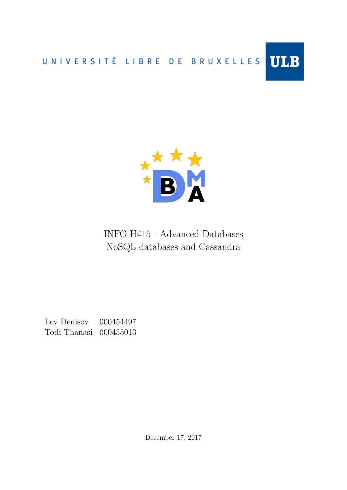



INFO-H415 - Advanced Databases NoSQL databases and Cassandra

<span id="page-0-0"></span>Lev Denisov 000454497 Todi Thanasi 000455013

December 17, 2017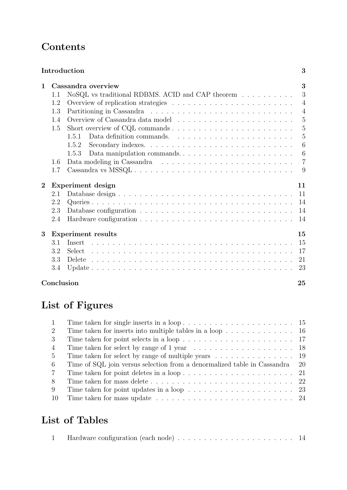# **Contents**

|                  | Introduction<br>3               |                                                                                  |                 |  |  |  |
|------------------|---------------------------------|----------------------------------------------------------------------------------|-----------------|--|--|--|
| $\mathbf{1}$     |                                 | Cassandra overview                                                               |                 |  |  |  |
|                  | 1.1                             | NoSQL vs traditional RDBMS. ACID and CAP theorem $\dots \dots \dots$             | 3               |  |  |  |
|                  | 1.2                             |                                                                                  | $\overline{4}$  |  |  |  |
|                  | 1.3                             |                                                                                  | $\overline{4}$  |  |  |  |
|                  | 1.4                             |                                                                                  | $\overline{5}$  |  |  |  |
|                  | 1.5                             | Short overview of CQL commands $\dots \dots \dots \dots \dots \dots \dots \dots$ | $\overline{5}$  |  |  |  |
|                  |                                 | 1.5.1                                                                            | 5               |  |  |  |
|                  |                                 | 1.5.2                                                                            | 6               |  |  |  |
|                  |                                 | Data manipulation commands<br>1.5.3                                              | $6\phantom{.}6$ |  |  |  |
|                  | 1.6                             |                                                                                  | $\overline{7}$  |  |  |  |
|                  | 1.7                             |                                                                                  | 9               |  |  |  |
| $\boldsymbol{2}$ | Experiment design<br>11         |                                                                                  |                 |  |  |  |
|                  | 2.1                             |                                                                                  | 11              |  |  |  |
|                  | 2.2                             |                                                                                  | 14              |  |  |  |
|                  | 2.3                             |                                                                                  | 14              |  |  |  |
|                  | 2.4                             |                                                                                  | 14              |  |  |  |
| 3                | <b>Experiment results</b><br>15 |                                                                                  |                 |  |  |  |
|                  | 3.1                             | Insert                                                                           | 15              |  |  |  |
|                  | 3.2                             |                                                                                  | 17              |  |  |  |
|                  | 3.3                             |                                                                                  | 21              |  |  |  |
|                  | 3.4                             |                                                                                  | 23              |  |  |  |
|                  | Conclusion                      |                                                                                  | 25              |  |  |  |

# List of Figures

| $\mathbf{1}$   |                                                                                                     |  |
|----------------|-----------------------------------------------------------------------------------------------------|--|
| 2              |                                                                                                     |  |
| 3              |                                                                                                     |  |
| $\overline{4}$ | Time taken for select by range of 1 year $\dots \dots \dots \dots \dots \dots \dots \dots \dots$ 18 |  |
| 5              | Time taken for select by range of multiple years $\dots \dots \dots \dots \dots \dots$              |  |
| -6             | Time of SQL join versus selection from a denormalized table in Cassandra 20                         |  |
| $\overline{7}$ |                                                                                                     |  |
| 8              |                                                                                                     |  |
| 9              | Time taken for point updates in a loop $\ldots \ldots \ldots \ldots \ldots \ldots$ 23               |  |
| -10            |                                                                                                     |  |

# List of Tables

|  |  | <b>Example 11</b> Hardware configuration (each node) $\ldots \ldots \ldots \ldots \ldots \ldots \ldots \ldots \ldots \ldots$ |  |
|--|--|------------------------------------------------------------------------------------------------------------------------------|--|
|--|--|------------------------------------------------------------------------------------------------------------------------------|--|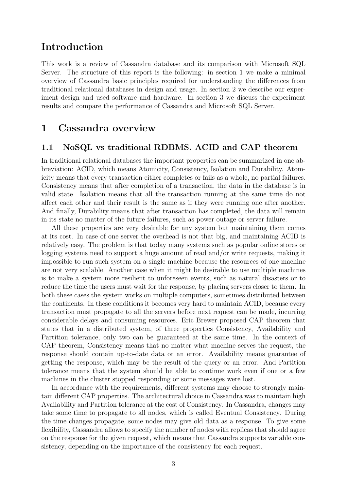# Introduction

This work is a review of Cassandra database and its comparison with Microsoft SQL Server. The structure of this report is the following: in section [1](#page-2-0) we make a minimal overview of Cassandra basic principles required for understanding the differences from traditional relational databases in design and usage. In section [2](#page-10-0) we describe our experiment design and used software and hardware. In section [3](#page-14-0) we discuss the experiment results and compare the performance of Cassandra and Microsoft SQL Server.

# <span id="page-2-0"></span>1 Cassandra overview

#### <span id="page-2-1"></span>1.1 NoSQL vs traditional RDBMS. ACID and CAP theorem

In traditional relational databases the important properties can be summarized in one abbreviation: ACID, which means Atomicity, Consistency, Isolation and Durability. Atomicity means that every transaction either completes or fails as a whole, no partial failures. Consistency means that after completion of a transaction, the data in the database is in valid state. Isolation means that all the transaction running at the same time do not affect each other and their result is the same as if they were running one after another. And finally, Durability means that after transaction has completed, the data will remain in its state no matter of the future failures, such as power outage or server failure.

All these properties are very desirable for any system but maintaining them comes at its cost. In case of one server the overhead is not that big, and maintaining ACID is relatively easy. The problem is that today many systems such as popular online stores or logging systems need to support a huge amount of read and/or write requests, making it impossible to run such system on a single machine because the resources of one machine are not very scalable. Another case when it might be desirable to use multiple machines is to make a system more resilient to unforeseen events, such as natural disasters or to reduce the time the users must wait for the response, by placing servers closer to them. In both these cases the system works on multiple computers, sometimes distributed between the continents. In these conditions it becomes very hard to maintain ACID, because every transaction must propagate to all the servers before next request can be made, incurring considerable delays and consuming resources. Eric Brewer proposed CAP theorem that states that in a distributed system, of three properties Consistency, Availability and Partition tolerance, only two can be guaranteed at the same time. In the context of CAP theorem, Consistency means that no matter what machine serves the request, the response should contain up-to-date data or an error. Availability means guarantee of getting the response, which may be the result of the query or an error. And Partition tolerance means that the system should be able to continue work even if one or a few machines in the cluster stopped responding or some messages were lost.

<span id="page-2-2"></span>In accordance with the requirements, different systems may choose to strongly maintain different CAP properties. The architectural choice in Cassandra was to maintain high Availability and Partition tolerance at the cost of Consistency. In Cassandra, changes may take some time to propagate to all nodes, which is called Eventual Consistency. During the time changes propagate, some nodes may give old data as a response. To give some flexibility, Cassandra allows to specify the number of nodes with replicas that should agree on the response for the given request, which means that Cassandra supports variable consistency, depending on the importance of the consistency for each request.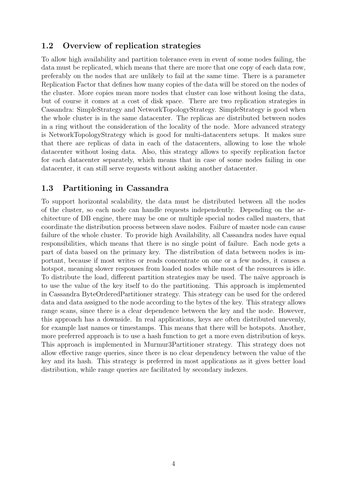## 1.2 Overview of replication strategies

To allow high availability and partition tolerance even in event of some nodes failing, the data must be replicated, which means that there are more that one copy of each data row, preferably on the nodes that are unlikely to fail at the same time. There is a parameter Replication Factor that defines how many copies of the data will be stored on the nodes of the cluster. More copies mean more nodes that cluster can lose without losing the data, but of course it comes at a cost of disk space. There are two replication strategies in Cassandra: SimpleStrategy and NetworkTopologyStrategy. SimpleStrategy is good when the whole cluster is in the same datacenter. The replicas are distributed between nodes in a ring without the consideration of the locality of the node. More advanced strategy is NetworkTopologyStrategy which is good for multi-datacenters setups. It makes sure that there are replicas of data in each of the datacenters, allowing to lose the whole datacenter without losing data. Also, this strategy allows to specify replication factor for each datacenter separately, which means that in case of some nodes failing in one datacenter, it can still serve requests without asking another datacenter.

## <span id="page-3-0"></span>1.3 Partitioning in Cassandra

To support horizontal scalability, the data must be distributed between all the nodes of the cluster, so each node can handle requests independently. Depending on the architecture of DB engine, there may be one or multiple special nodes called masters, that coordinate the distribution process between slave nodes. Failure of master node can cause failure of the whole cluster. To provide high Availability, all Cassandra nodes have equal responsibilities, which means that there is no single point of failure. Each node gets a part of data based on the primary key. The distribution of data between nodes is important, because if most writes or reads concentrate on one or a few nodes, it causes a hotspot, meaning slower responses from loaded nodes while most of the resources is idle. To distribute the load, different partition strategies may be used. The naïve approach is to use the value of the key itself to do the partitioning. This approach is implemented in Cassandra ByteOrderedPartitioner strategy. This strategy can be used for the ordered data and data assigned to the node according to the bytes of the key. This strategy allows range scans, since there is a clear dependence between the key and the node. However, this approach has a downside. In real applications, keys are often distributed unevenly, for example last names or timestamps. This means that there will be hotspots. Another, more preferred approach is to use a hash function to get a more even distribution of keys. This approach is implemented in Murmur3Partitioner strategy. This strategy does not allow effective range queries, since there is no clear dependency between the value of the key and its hash. This strategy is preferred in most applications as it gives better load distribution, while range queries are facilitated by secondary indexes.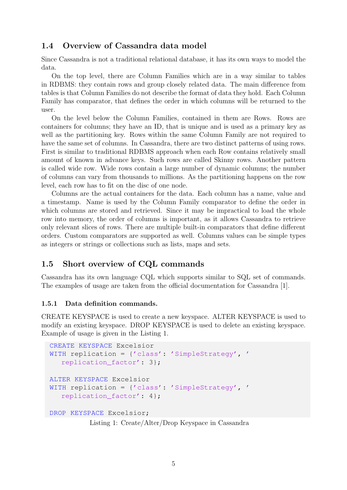## <span id="page-4-0"></span>1.4 Overview of Cassandra data model

Since Cassandra is not a traditional relational database, it has its own ways to model the data.

On the top level, there are Column Families which are in a way similar to tables in RDBMS: they contain rows and group closely related data. The main difference from tables is that Column Families do not describe the format of data they hold. Each Column Family has comparator, that defines the order in which columns will be returned to the user.

On the level below the Column Families, contained in them are Rows. Rows are containers for columns; they have an ID, that is unique and is used as a primary key as well as the partitioning key. Rows within the same Column Family are not required to have the same set of columns. In Cassandra, there are two distinct patterns of using rows. First is similar to traditional RDBMS approach when each Row contains relatively small amount of known in advance keys. Such rows are called Skinny rows. Another pattern is called wide row. Wide rows contain a large number of dynamic columns; the number of columns can vary from thousands to millions. As the partitioning happens on the row level, each row has to fit on the disc of one node.

Columns are the actual containers for the data. Each column has a name, value and a timestamp. Name is used by the Column Family comparator to define the order in which columns are stored and retrieved. Since it may be impractical to load the whole row into memory, the order of columns is important, as it allows Cassandra to retrieve only relevant slices of rows. There are multiple built-in comparators that define different orders. Custom comparators are supported as well. Columns values can be simple types as integers or strings or collections such as lists, maps and sets.

## <span id="page-4-1"></span>1.5 Short overview of CQL commands

Cassandra has its own language CQL which supports similar to SQL set of commands. The examples of usage are taken from the official documentation for Cassandra [\[1\]](#page-25-0).

#### <span id="page-4-2"></span>1.5.1 Data definition commands.

CREATE KEYSPACE is used to create a new keyspace. ALTER KEYSPACE is used to modify an existing keyspace. DROP KEYSPACE is used to delete an existing keyspace. Example of usage is given in the Listing [1.](#page-4-3)

```
CREATE KEYSPACE Excelsior
WITH replication = {'class': 'SimpleStrategy', '
   replication factor': 3};
ALTER KEYSPACE Excelsior
WITH replication = {'class': 'SimpleStrategy', '
   replication_factor': 4};
DROP KEYSPACE Excelsior;
          Listing 1: Create/Alter/Drop Keyspace in Cassandra
```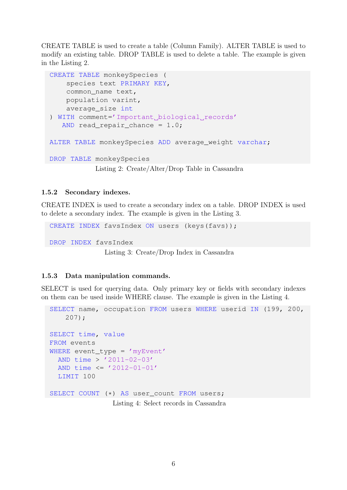CREATE TABLE is used to create a table (Column Family). ALTER TABLE is used to modify an existing table. DROP TABLE is used to delete a table. The example is given in the Listing [2.](#page-5-2)

```
CREATE TABLE monkeySpecies (
    species text PRIMARY KEY,
    common_name text,
    population varint,
    average_size int
) WITH comment='Important biological records'
   AND read repair chance = 1.0;
ALTER TABLE monkeySpecies ADD average weight varchar;
DROP TABLE monkeySpecies
           Listing 2: Create/Alter/Drop Table in Cassandra
```
#### <span id="page-5-0"></span>1.5.2 Secondary indexes.

CREATE INDEX is used to create a secondary index on a table. DROP INDEX is used to delete a secondary index. The example is given in the Listing [3.](#page-5-3)

```
CREATE INDEX favsIndex ON users (keys(favs));
DROP INDEX favsIndex
              Listing 3: Create/Drop Index in Cassandra
```
#### <span id="page-5-1"></span>1.5.3 Data manipulation commands.

SELECT is used for querying data. Only primary key or fields with secondary indexes on them can be used inside WHERE clause. The example is given in the Listing [4.](#page-5-4)

```
SELECT name, occupation FROM users WHERE userid IN (199, 200,
    207);
SELECT time, value
FROM events
WHERE event_type = 'myEvent'
  AND time > '2011-02-03'
  AND time \leq '2012-01-01'
  LIMIT 100
SELECT COUNT (*) AS user_count FROM users;
                Listing 4: Select records in Cassandra
```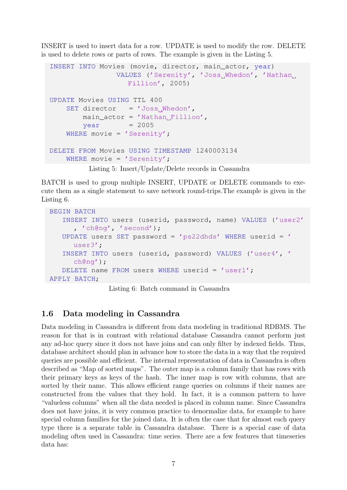INSERT is used to insert data for a row. UPDATE is used to modify the row. DELETE is used to delete rows or parts of rows. The example is given in the Listing [5.](#page-6-1)

```
INSERT INTO Movies (movie, director, main_actor, year)
                VALUES ('Serenity', 'Joss_Whedon', 'Nathan
                   Fillion', 2005)
UPDATE Movies USING TTL 400
    SET director = 'Joss Whedon',
        main\_actor = 'Mathan_Fillion',year = 2005WHERE movie = 'Serenity';
DELETE FROM Movies USING TIMESTAMP 1240003134
    WHERE movie = 'Serenity';
         Listing 5: Insert/Update/Delete records in Cassandra
```
BATCH is used to group multiple INSERT, UPDATE or DELETE commands to execute them as a single statement to save network round-trips.The example is given in the Listing [6.](#page-6-2)

```
BEGIN BATCH
   INSERT INTO users (userid, password, name) VALUES ('user2'
      , 'ch@ng', 'second');
   UPDATE users SET password = 'ps22dhds' WHERE userid = '
      user3';
   INSERT INTO users (userid, password) VALUES ('user4', '
      ch@ng');
   DELETE name FROM users WHERE userid = 'user1';
APPLY BATCH;
```
Listing 6: Batch command in Cassandra

## <span id="page-6-0"></span>1.6 Data modeling in Cassandra

Data modeling in Cassandra is different from data modeling in traditional RDBMS. The reason for that is in contrast with relational database Cassandra cannot perform just any ad-hoc query since it does not have joins and can only filter by indexed fields. Thus, database architect should plan in advance how to store the data in a way that the required queries are possible and efficient. The internal representation of data in Cassandra is often described as "Map of sorted maps". The outer map is a column family that has rows with their primary keys as keys of the hash. The inner map is row with columns, that are sorted by their name. This allows efficient range queries on columns if their names are constructed from the values that they hold. In fact, it is a common pattern to have "valueless columns" when all the data needed is placed in column name. Since Cassandra does not have joins, it is very common practice to denormalize data, for example to have special column families for the joined data. It is often the case that for almost each query type there is a separate table in Cassandra database. There is a special case of data modeling often used in Cassandra: time series. There are a few features that timeseries data has: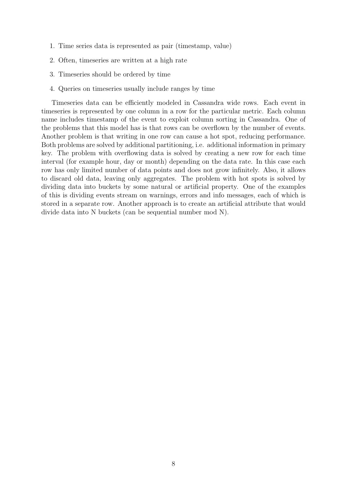- 1. Time series data is represented as pair (timestamp, value)
- 2. Often, timeseries are written at a high rate
- 3. Timeseries should be ordered by time
- 4. Queries on timeseries usually include ranges by time

Timeseries data can be efficiently modeled in Cassandra wide rows. Each event in timeseries is represented by one column in a row for the particular metric. Each column name includes timestamp of the event to exploit column sorting in Cassandra. One of the problems that this model has is that rows can be overflown by the number of events. Another problem is that writing in one row can cause a hot spot, reducing performance. Both problems are solved by additional partitioning, i.e. additional information in primary key. The problem with overflowing data is solved by creating a new row for each time interval (for example hour, day or month) depending on the data rate. In this case each row has only limited number of data points and does not grow infinitely. Also, it allows to discard old data, leaving only aggregates. The problem with hot spots is solved by dividing data into buckets by some natural or artificial property. One of the examples of this is dividing events stream on warnings, errors and info messages, each of which is stored in a separate row. Another approach is to create an artificial attribute that would divide data into N buckets (can be sequential number mod N).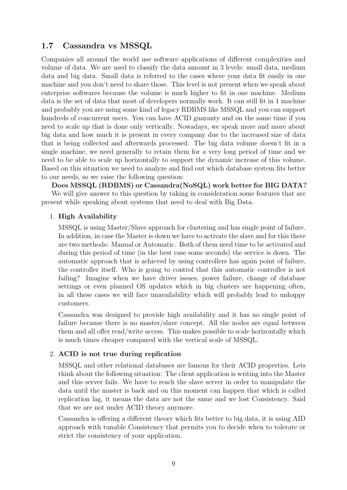### <span id="page-8-0"></span>1.7 Cassandra vs MSSQL

Companies all around the world use software applications of different complexities and volume of data. We are used to classify the data amount in 3 levels: small data, medium data and big data. Small data is referred to the cases where your data fit easily in one machine and you don't need to share those. This level is not present when we speak about enterprise softwares because the volume is much higher to fit in one machine. Medium data is the set of data that most of developers normally work. It can still fit in 1 machine and probably you are using some kind of legacy RDBMS like MSSQL and you can support hundreds of concurrent users. You can have ACID guaranty and on the same time if you need to scale up that is done only vertically. Nowadays, we speak more and more about big data and how much it is present in every company due to the increased size of data that is being collected and afterwards processed. The big data volume doesn't fit in a single machine, we need generally to retain them for a very long period of time and we need to be able to scale up horizontally to support the dynamic increase of this volume. Based on this situation we need to analyze and find out which database system fits better to our needs, so we raise the following question:

Does MSSQL (RDBMS) or Cassandra(NoSQL) work better for BIG DATA? We will give answer to this question by taking in consideration some features that are present while speaking about systems that need to deal with Big Data.

#### 1. High Availability

MSSQL is using Master/Slave approach for clustering and has single point of failure. In addition, in case the Master is down we have to activate the slave and for this there are two methods: Manual or Automatic. Both of them need time to be activated and during this period of time (in the best case some seconds) the service is down. The automatic approach that is achieved by using controllers has again point of failure, the controller itself. Who is going to control that this automatic controller is not failing? Imagine when we have driver issues, power failure, change of database settings or even planned OS updates which in big clusters are happening often, in all these cases we will face unavailability which will probably lead to unhappy customers.

Cassandra was designed to provide high availability and it has no single point of failure because there is no master/slave concept. All the nodes are equal between them and all offer read/write access. This makes possible to scale horizontally which is much times cheaper compared with the vertical scale of MSSQL.

#### 2. ACID is not true during replication

MSSQL and other relational databases are famous for their ACID properties. Lets think about the following situation: The client application is writing into the Master and this server fails. We have to reach the slave server in order to manipulate the data until the master is back and on this moment can happen that which is called replication lag, it means the data are not the same and we lost Consistency. Said that we are not under ACID theory anymore.

Cassandra is offering a different theory which fits better to big data, it is using AID approach with tunable Consistency that permits you to decide when to tolerate or strict the consistency of your application.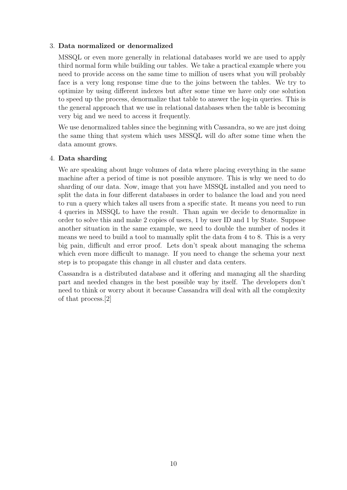#### 3. Data normalized or denormalized

MSSQL or even more generally in relational databases world we are used to apply third normal form while building our tables. We take a practical example where you need to provide access on the same time to million of users what you will probably face is a very long response time due to the joins between the tables. We try to optimize by using different indexes but after some time we have only one solution to speed up the process, denormalize that table to answer the log-in queries. This is the general approach that we use in relational databases when the table is becoming very big and we need to access it frequently.

We use denormalized tables since the beginning with Cassandra, so we are just doing the same thing that system which uses MSSQL will do after some time when the data amount grows.

#### 4. Data sharding

We are speaking about huge volumes of data where placing everything in the same machine after a period of time is not possible anymore. This is why we need to do sharding of our data. Now, image that you have MSSQL installed and you need to split the data in four different databases in order to balance the load and you need to run a query which takes all users from a specific state. It means you need to run 4 queries in MSSQL to have the result. Than again we decide to denormalize in order to solve this and make 2 copies of users, 1 by user ID and 1 by State. Suppose another situation in the same example, we need to double the number of nodes it means we need to build a tool to manually split the data from 4 to 8. This is a very big pain, difficult and error proof. Lets don't speak about managing the schema which even more difficult to manage. If you need to change the schema your next step is to propagate this change in all cluster and data centers.

Cassandra is a distributed database and it offering and managing all the sharding part and needed changes in the best possible way by itself. The developers don't need to think or worry about it because Cassandra will deal with all the complexity of that process.[\[2\]](#page-25-1)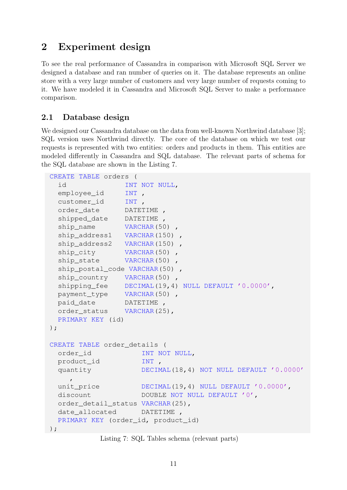# <span id="page-10-0"></span>2 Experiment design

To see the real performance of Cassandra in comparison with Microsoft SQL Server we designed a database and ran number of queries on it. The database represents an online store with a very large number of customers and very large number of requests coming to it. We have modeled it in Cassandra and Microsoft SQL Server to make a performance comparison.

## <span id="page-10-1"></span>2.1 Database design

We designed our Cassandra database on the data from well-known Northwind database [\[3\]](#page-25-2); SQL version uses Northwind directly. The core of the database on which we test our requests is represented with two entities: orders and products in them. This entities are modeled differently in Cassandra and SQL database. The relevant parts of schema for the SQL database are shown in the Listing [7.](#page-10-2)

```
CREATE TABLE orders (
 id INT NOT NULL,
 employee_id INT ,
 customer_id INT ,
 order_date DATETIME ,
 shipped_date DATETIME ,
 ship_name VARCHAR(50),
 ship_address1 VARCHAR(150) ,
 ship_address2    VARCHAR(150)    ,
 ship_city VARCHAR(50),
 ship_state VARCHAR(50)
 ship_postal_code VARCHAR(50) ,
 ship country VARCHAR(50),
 shipping_fee DECIMAL(19,4) NULL DEFAULT '0.0000',
 payment_type VARCHAR(50) ,
 paid_date DATETIME ,
 order status VARCHAR(25),
 PRIMARY KEY (id)
);
CREATE TABLE order_details (
 order_id INT NOT NULL,
 product_id INT ,
 quantity DECIMAL(18,4) NOT NULL DEFAULT '0.0000'
    ,
 unit price DECIMAL(19,4) NULL DEFAULT '0.0000',
 discount DOUBLE NOT NULL DEFAULT '0',
 order_detail_status VARCHAR(25),
 date allocated DATETIME ,
 PRIMARY KEY (order_id, product_id)
);
```
Listing 7: SQL Tables schema (relevant parts)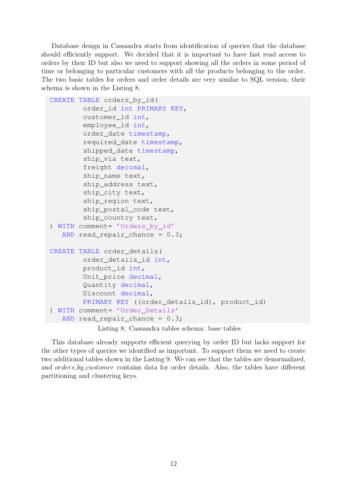Database design in Cassandra starts from identification of queries that the database should efficiently support. We decided that it is important to have fast read access to orders by their ID but also we need to support showing all the orders in some period of time or belonging to particular customers with all the products belonging to the order. The two basic tables for orders and order details are very similar to SQL version, their schema is shown in the Listing [8.](#page-11-0)

```
CREATE TABLE orders by id(
        order_id int PRIMARY KEY,
        customer_id int,
        employee_id int,
        order_date timestamp,
        required_date timestamp,
        shipped_date timestamp,
        ship_via text,
        freight decimal,
        ship name text,
        ship address text,
        ship_city text,
        ship region text,
        ship_postal_code text,
        ship_country text,
) WITH comment= 'Orders by id'
   AND read repair chance = 0.3;
CREATE TABLE order_details(
        order_details_id int,
        product_id int,
        Unit_price decimal,
        Quantity decimal,
        Discount decimal,
        PRIMARY KEY ((order_details_id), product_id)
) WITH comment= 'Order Details'
   AND read_repair_chance = 0.3;
```
Listing 8: Cassandra tables schema: base tables

This database already supports efficient querying by order ID but lacks support for the other types of queries we identified as important. To support them we need to create two additional tables shown in the Listing [9.](#page-12-0) We can see that the tables are denormalized, and *orders by customer* contains data for order details. Also, the tables have different partitioning and clustering keys.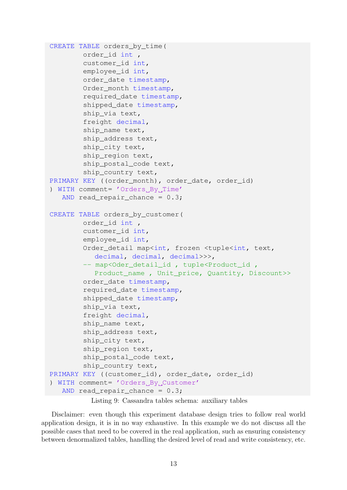```
CREATE TABLE orders by time(
        order_id int ,
        customer_id int,
        employee_id int,
        order date timestamp,
        Order_month timestamp,
        required_date timestamp,
        shipped date timestamp,
        ship_via text,
        freight decimal,
        ship_name text,
        ship_address text,
        ship_city text,
        ship_region text,
        ship_postal_code text,
        ship_country text,
PRIMARY KEY ((order_month), order_date, order_id)
) WITH comment= 'Orders By Time'
   AND read repair chance = 0.3;
CREATE TABLE orders_by_customer(
        order_id int ,
        customer_id int,
        employee_id int,
        Order_detail map<int, frozen <tuple<int, text,
           decimal, decimal, decimal>>>,
        -- map<Oder detail id, tuple<Product id,
           Product_name , Unit_price, Quantity, Discount>>
        order_date timestamp,
        required_date timestamp,
        shipped date timestamp,
        ship_via text,
        freight decimal,
        ship name text,
        ship_address text,
        ship_city text,
        ship_region text,
        ship postal code text,
        ship_country text,
PRIMARY KEY ((customer_id), order_date, order_id)
) WITH comment= 'Orders_By_Customer'
   AND read_repair_chance = 0.3;
```
Listing 9: Cassandra tables schema: auxiliary tables

Disclaimer: even though this experiment database design tries to follow real world application design, it is in no way exhaustive. In this example we do not discuss all the possible cases that need to be covered in the real application, such as ensuring consistency between denormalized tables, handling the desired level of read and write consistency, etc.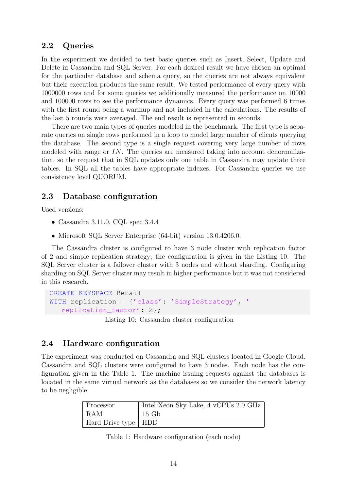#### <span id="page-13-0"></span>2.2 Queries

In the experiment we decided to test basic queries such as Insert, Select, Update and Delete in Cassandra and SQL Server. For each desired result we have chosen an optimal for the particular database and schema query, so the queries are not always equivalent but their execution produces the same result. We tested performance of every query with 1000000 rows and for some queries we additionally measured the performance on 10000 and 100000 rows to see the performance dynamics. Every query was performed 6 times with the first round being a warmup and not included in the calculations. The results of the last 5 rounds were averaged. The end result is represented in seconds.

There are two main types of queries modeled in the benchmark. The first type is separate queries on single rows performed in a loop to model large number of clients querying the database. The second type is a single request covering very large number of rows modeled with range or  $IN$ . The queries are measured taking into account denormalization, so the request that in SQL updates only one table in Cassandra may update three tables. In SQL all the tables have appropriate indexes. For Cassandra queries we use consistency level QUORUM.

#### <span id="page-13-1"></span>2.3 Database configuration

Used versions:

- Cassandra 3.11.0, CQL spec 3.4.4
- Microsoft SQL Server Enterprise (64-bit) version 13.0.4206.0.

The Cassandra cluster is configured to have 3 node cluster with replication factor of 2 and simple replication strategy; the configuration is given in the Listing [10.](#page-13-4) The SQL Server cluster is a failover cluster with 3 nodes and without sharding. Configuring sharding on SQL Server cluster may result in higher performance but it was not considered in this research.

```
CREATE KEYSPACE Retail
WITH replication = {'class': 'SimpleStrategy', '
  replication_factor': 2};
```
Listing 10: Cassandra cluster configuration

#### <span id="page-13-2"></span>2.4 Hardware configuration

The experiment was conducted on Cassandra and SQL clusters located in Google Cloud. Cassandra and SQL clusters were configured to have 3 nodes. Each node has the configuration given in the Table [1.](#page-13-3) The machine issuing requests against the databases is located in the same virtual network as the databases so we consider the network latency to be negligible.

<span id="page-13-3"></span>

| Processor             | Intel Xeon Sky Lake, 4 vCPUs 2.0 GHz |
|-----------------------|--------------------------------------|
| $ $ RAM               | $15\,$ Gb                            |
| Hard Drive type   HDD |                                      |

Table 1: Hardware configuration (each node)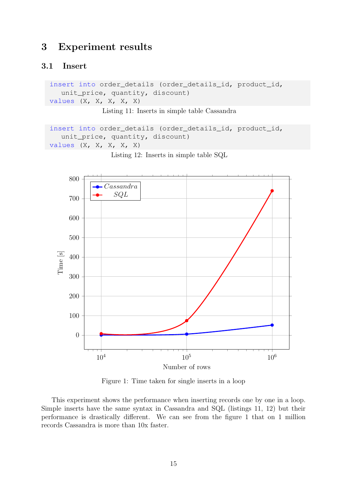# <span id="page-14-0"></span>3 Experiment results

#### <span id="page-14-1"></span>3.1 Insert

```
insert into order_details (order_details_id, product_id,
  unit_price, quantity, discount)
values (X, X, X, X, X)
```
Listing 11: Inserts in simple table Cassandra

```
insert into order_details (order_details_id, product_id,
  unit_price, quantity, discount)
values (X, X, X, X, X)
```
<span id="page-14-2"></span>

Listing 12: Inserts in simple table SQL

Figure 1: Time taken for single inserts in a loop

This experiment shows the performance when inserting records one by one in a loop. Simple inserts have the same syntax in Cassandra and SQL (listings [11,](#page-14-3) [12\)](#page-14-4) but their performance is drastically different. We can see from the figure [1](#page-14-2) that on 1 million records Cassandra is more than 10x faster.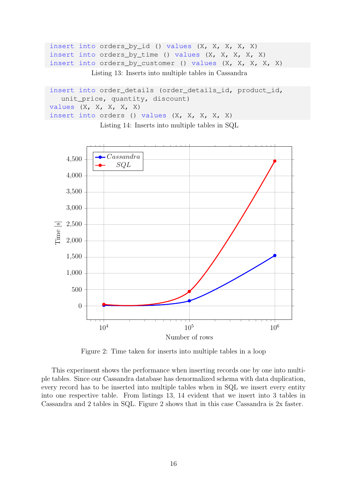```
insert into orders_by_id () values (X, X, X, X, X)
insert into orders_by_time () values (X, X, X, X, X)
insert into orders_by_customer () values (X, X, X, X, X)
```
Listing 13: Inserts into multiple tables in Cassandra

```
insert into order_details (order_details_id, product_id,
  unit_price, quantity, discount)
values (X, X, X, X, X)
insert into orders () values (X, X, X, X, X)
```
Listing 14: Inserts into multiple tables in SQL

<span id="page-15-0"></span>

Figure 2: Time taken for inserts into multiple tables in a loop

This experiment shows the performance when inserting records one by one into multiple tables. Since our Cassandra database has denormalized schema with data duplication, every record has to be inserted into multiple tables when in SQL we insert every entity into one respective table. From listings [13,](#page-15-1) [14](#page-15-2) evident that we insert into 3 tables in Cassandra and 2 tables in SQL. Figure [2](#page-15-0) shows that in this case Cassandra is 2x faster.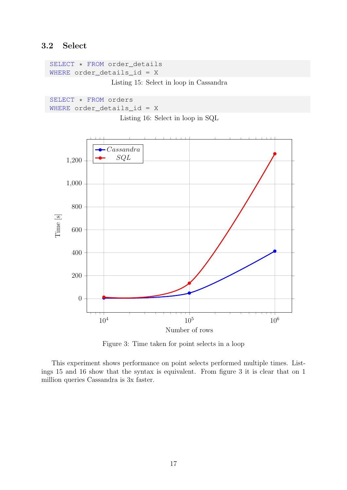# <span id="page-16-0"></span>3.2 Select

```
SELECT * FROM order_details
WHERE order_details_id = X
```
Listing 15: Select in loop in Cassandra

<span id="page-16-3"></span>SELECT \* FROM orders WHERE order\_details\_id = X

Listing 16: Select in loop in SQL

<span id="page-16-1"></span>

Figure 3: Time taken for point selects in a loop

This experiment shows performance on point selects performed multiple times. Listings [15](#page-16-2) and [16](#page-16-3) show that the syntax is equivalent. From figure [3](#page-16-1) it is clear that on 1 million queries Cassandra is 3x faster.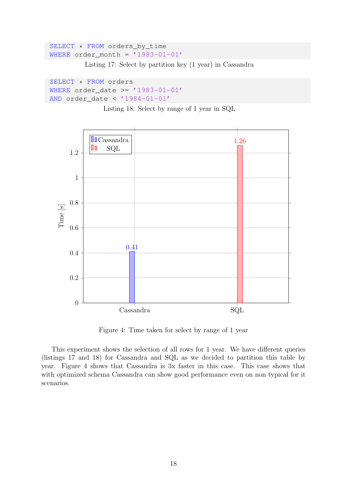```
SELECT * FROM orders_by_time
WHERE order_month = '1983-01-01'
```
Listing 17: Select by partition key (1 year) in Cassandra

```
SELECT * FROM orders
WHERE order_date >= '1983-01-01'
AND order_date < '1984-01-01'
```
Listing 18: Select by range of 1 year in SQL

<span id="page-17-0"></span>

Figure 4: Time taken for select by range of 1 year

This experiment shows the selection of all rows for 1 year. We have different queries (listings [17](#page-17-1) and [18\)](#page-17-2) for Cassandra and SQL as we decided to partition this table by year. Figure [4](#page-17-0) shows that Cassandra is 3x faster in this case. This case shows that with optimized schema Cassandra can show good performance even on non typical for it scenarios.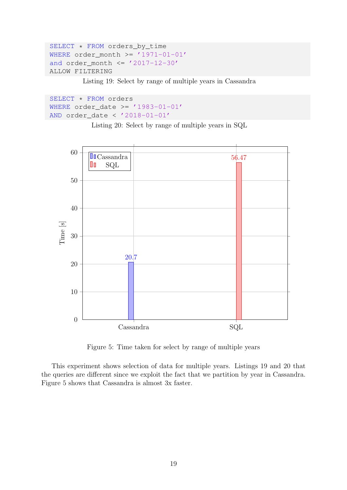```
SELECT * FROM orders_by_time
WHERE order_month >= '1971-01-01'and order\_month \leq '2017-12-30'ALLOW FILTERING
```
Listing 19: Select by range of multiple years in Cassandra

```
SELECT * FROM orders
WHERE order_date >= '1983-01-01'AND order date < '2018-01-01'
```
Listing 20: Select by range of multiple years in SQL

<span id="page-18-0"></span>

Figure 5: Time taken for select by range of multiple years

This experiment shows selection of data for multiple years. Listings [19](#page-18-1) and [20](#page-18-2) that the queries are different since we exploit the fact that we partition by year in Cassandra. Figure [5](#page-18-0) shows that Cassandra is almost 3x faster.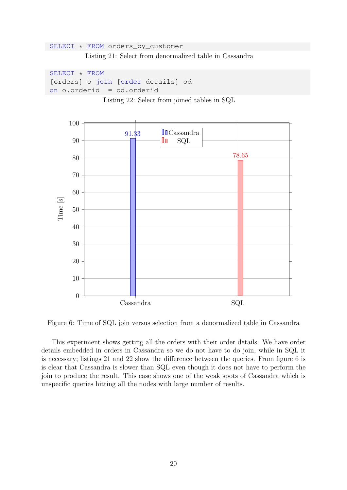```
SELECT * FROM orders_by_customer
          Listing 21: Select from denormalized table in Cassandra
```

```
SELECT * FROM
[orders] o join [order details] od
on o.orderid = od.orderid
```
Listing 22: Select from joined tables in SQL

<span id="page-19-0"></span>

Figure 6: Time of SQL join versus selection from a denormalized table in Cassandra

This experiment shows getting all the orders with their order details. We have order details embedded in orders in Cassandra so we do not have to do join, while in SQL it is necessary; listings [21](#page-19-1) and [22](#page-19-2) show the difference between the queries. From figure [6](#page-19-0) is is clear that Cassandra is slower than SQL even though it does not have to perform the join to produce the result. This case shows one of the weak spots of Cassandra which is unspecific queries hitting all the nodes with large number of results.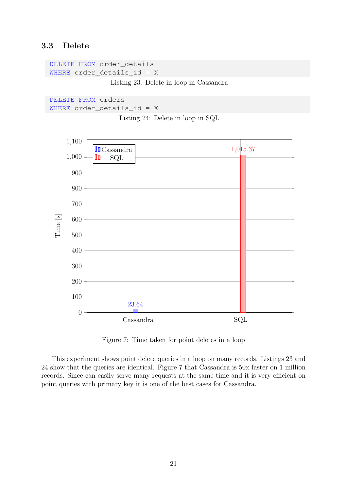### <span id="page-20-0"></span>3.3 Delete

```
DELETE FROM order_details
WHERE order_details_id = X
                Listing 23: Delete in loop in Cassandra
```

```
DELETE FROM orders
WHERE order_details_id = X
```
Listing 24: Delete in loop in SQL

<span id="page-20-1"></span>

Figure 7: Time taken for point deletes in a loop

This experiment shows point delete queries in a loop on many records. Listings [23](#page-20-2) and [24](#page-20-3) show that the queries are identical. Figure [7](#page-20-1) that Cassandra is 50x faster on 1 million records. Since can easily serve many requests at the same time and it is very efficient on point queries with primary key it is one of the best cases for Cassandra.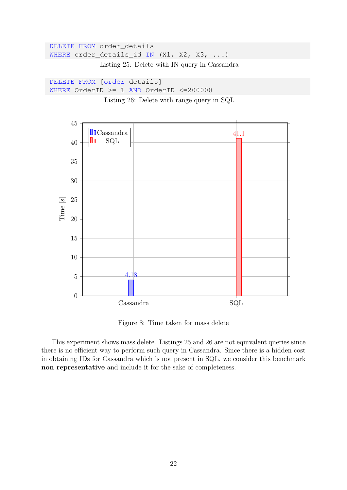```
DELETE FROM order details
WHERE order_details_id IN (X1, X2, X3, ...)
             Listing 25: Delete with IN query in Cassandra
```

```
DELETE FROM [order details]
WHERE OrderID >= 1 AND OrderID <=200000
```
Listing 26: Delete with range query in SQL

<span id="page-21-0"></span>

Figure 8: Time taken for mass delete

This experiment shows mass delete. Listings [25](#page-21-1) and [26](#page-21-2) are not equivalent queries since there is no efficient way to perform such query in Cassandra. Since there is a hidden cost in obtaining IDs for Cassandra which is not present in SQL, we consider this benchmark non representative and include it for the sake of completeness.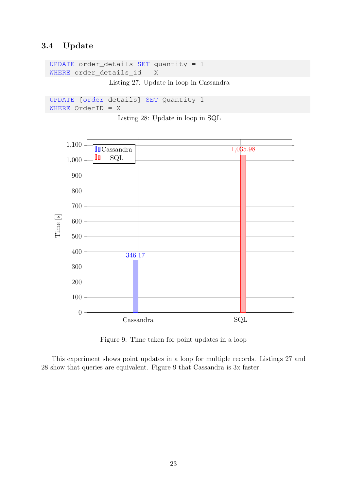## <span id="page-22-0"></span>3.4 Update

```
UPDATE order_details SET quantity = 1
WHERE order_details_id = X
```
Listing 27: Update in loop in Cassandra

```
UPDATE [order details] SET Quantity=1
WHERE OrderID = X
```
Listing 28: Update in loop in SQL

<span id="page-22-1"></span>

Figure 9: Time taken for point updates in a loop

This experiment shows point updates in a loop for multiple records. Listings [27](#page-22-2) and [28](#page-22-3) show that queries are equivalent. Figure [9](#page-22-1) that Cassandra is 3x faster.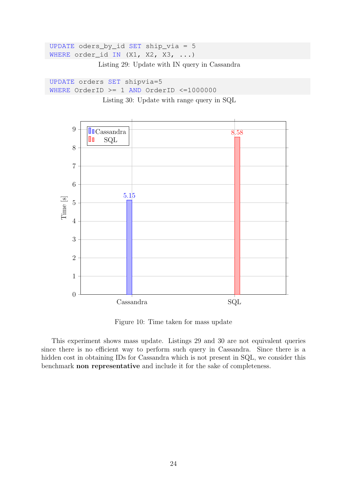```
UPDATE oders_by_id SET ship_via = 5
WHERE order_id IN (X1, X2, X3, ...)
```
Listing 29: Update with IN query in Cassandra

```
UPDATE orders SET shipvia=5
WHERE OrderID >= 1 AND OrderID <=1000000
```
Listing 30: Update with range query in SQL

<span id="page-23-0"></span>

Figure 10: Time taken for mass update

This experiment shows mass update. Listings [29](#page-23-1) and [30](#page-23-2) are not equivalent queries since there is no efficient way to perform such query in Cassandra. Since there is a hidden cost in obtaining IDs for Cassandra which is not present in SQL, we consider this benchmark non representative and include it for the sake of completeness.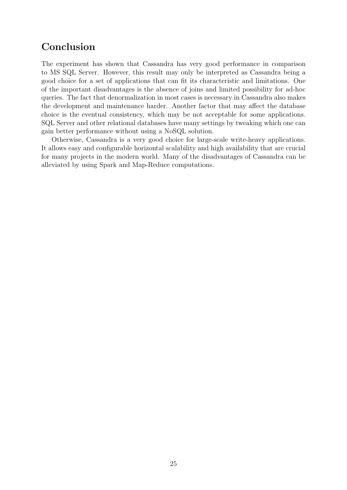# Conclusion

The experiment has shown that Cassandra has very good performance in comparison to MS SQL Server. However, this result may only be interpreted as Cassandra being a good choice for a set of applications that can fit its characteristic and limitations. One of the important disadvantages is the absence of joins and limited possibility for ad-hoc queries. The fact that denormalization in most cases is necessary in Cassandra also makes the development and maintenance harder. Another factor that may affect the database choice is the eventual consistency, which may be not acceptable for some applications. SQL Server and other relational databases have many settings by tweaking which one can gain better performance without using a NoSQL solution.

Otherwise, Cassandra is a very good choice for large-scale write-heavy applications. It allows easy and configurable horizontal scalability and high availability that are crucial for many projects in the modern world. Many of the disadvantages of Cassandra can be alleviated by using Spark and Map-Reduce computations.